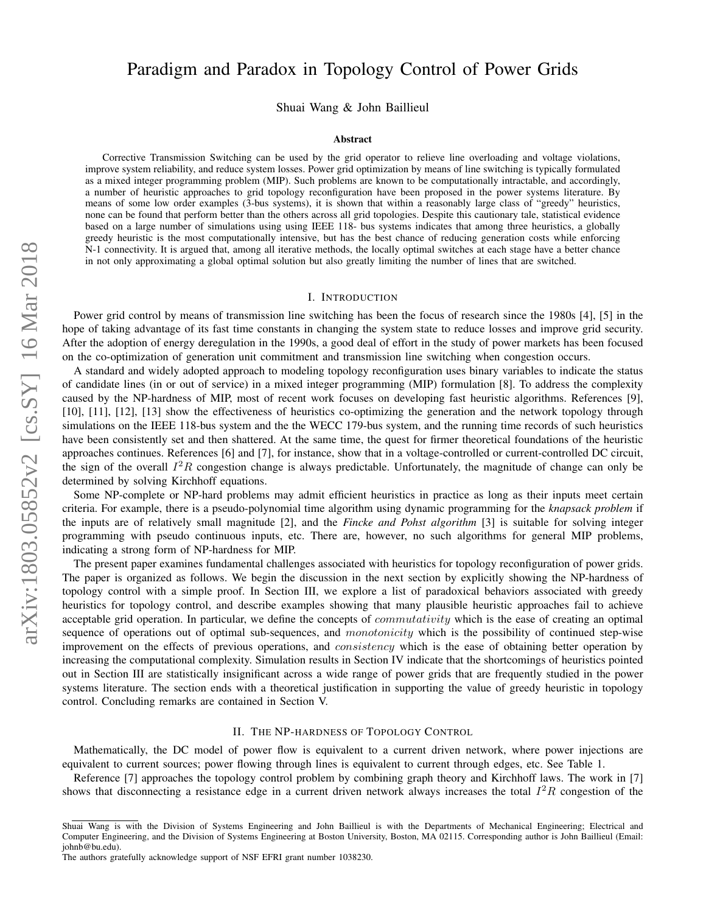# arXiv:1803.05852v2 [cs.SY] 16 Mar 2018 arXiv:1803.05852v2 [cs.SY] 16 Mar 2018

# Paradigm and Paradox in Topology Control of Power Grids

Shuai Wang & John Baillieul

### Abstract

Corrective Transmission Switching can be used by the grid operator to relieve line overloading and voltage violations, improve system reliability, and reduce system losses. Power grid optimization by means of line switching is typically formulated as a mixed integer programming problem (MIP). Such problems are known to be computationally intractable, and accordingly, a number of heuristic approaches to grid topology reconfiguration have been proposed in the power systems literature. By means of some low order examples (3-bus systems), it is shown that within a reasonably large class of "greedy" heuristics, none can be found that perform better than the others across all grid topologies. Despite this cautionary tale, statistical evidence based on a large number of simulations using using IEEE 118- bus systems indicates that among three heuristics, a globally greedy heuristic is the most computationally intensive, but has the best chance of reducing generation costs while enforcing N-1 connectivity. It is argued that, among all iterative methods, the locally optimal switches at each stage have a better chance in not only approximating a global optimal solution but also greatly limiting the number of lines that are switched.

### I. INTRODUCTION

Power grid control by means of transmission line switching has been the focus of research since the 1980s [4], [5] in the hope of taking advantage of its fast time constants in changing the system state to reduce losses and improve grid security. After the adoption of energy deregulation in the 1990s, a good deal of effort in the study of power markets has been focused on the co-optimization of generation unit commitment and transmission line switching when congestion occurs.

A standard and widely adopted approach to modeling topology reconfiguration uses binary variables to indicate the status of candidate lines (in or out of service) in a mixed integer programming (MIP) formulation [8]. To address the complexity caused by the NP-hardness of MIP, most of recent work focuses on developing fast heuristic algorithms. References [9], [10], [11], [12], [13] show the effectiveness of heuristics co-optimizing the generation and the network topology through simulations on the IEEE 118-bus system and the the WECC 179-bus system, and the running time records of such heuristics have been consistently set and then shattered. At the same time, the quest for firmer theoretical foundations of the heuristic approaches continues. References [6] and [7], for instance, show that in a voltage-controlled or current-controlled DC circuit, the sign of the overall  $I^2R$  congestion change is always predictable. Unfortunately, the magnitude of change can only be determined by solving Kirchhoff equations.

Some NP-complete or NP-hard problems may admit efficient heuristics in practice as long as their inputs meet certain criteria. For example, there is a pseudo-polynomial time algorithm using dynamic programming for the *knapsack problem* if the inputs are of relatively small magnitude [2], and the *Fincke and Pohst algorithm* [3] is suitable for solving integer programming with pseudo continuous inputs, etc. There are, however, no such algorithms for general MIP problems, indicating a strong form of NP-hardness for MIP.

The present paper examines fundamental challenges associated with heuristics for topology reconfiguration of power grids. The paper is organized as follows. We begin the discussion in the next section by explicitly showing the NP-hardness of topology control with a simple proof. In Section III, we explore a list of paradoxical behaviors associated with greedy heuristics for topology control, and describe examples showing that many plausible heuristic approaches fail to achieve acceptable grid operation. In particular, we define the concepts of *commutativity* which is the ease of creating an optimal sequence of operations out of optimal sub-sequences, and monotonicity which is the possibility of continued step-wise improvement on the effects of previous operations, and *consistency* which is the ease of obtaining better operation by increasing the computational complexity. Simulation results in Section IV indicate that the shortcomings of heuristics pointed out in Section III are statistically insignificant across a wide range of power grids that are frequently studied in the power systems literature. The section ends with a theoretical justification in supporting the value of greedy heuristic in topology control. Concluding remarks are contained in Section V.

### II. THE NP-HARDNESS OF TOPOLOGY CONTROL

Mathematically, the DC model of power flow is equivalent to a current driven network, where power injections are equivalent to current sources; power flowing through lines is equivalent to current through edges, etc. See Table 1.

Reference [7] approaches the topology control problem by combining graph theory and Kirchhoff laws. The work in [7] shows that disconnecting a resistance edge in a current driven network always increases the total  $I^2R$  congestion of the

Shuai Wang is with the Division of Systems Engineering and John Baillieul is with the Departments of Mechanical Engineering; Electrical and Computer Engineering, and the Division of Systems Engineering at Boston University, Boston, MA 02115. Corresponding author is John Baillieul (Email: johnb@bu.edu).

The authors gratefully acknowledge support of NSF EFRI grant number 1038230.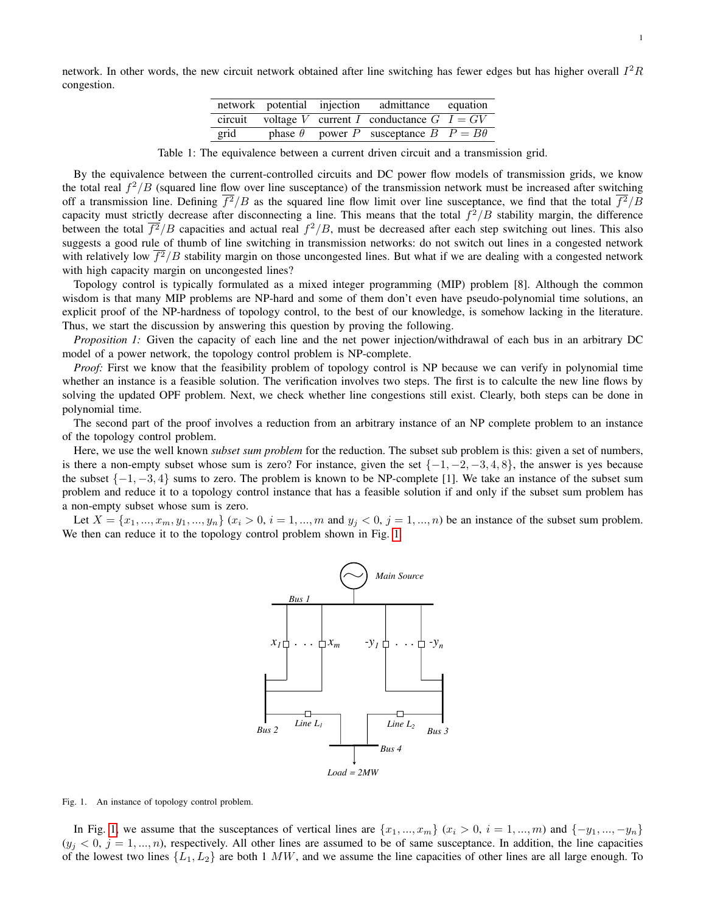network. In other words, the new circuit network obtained after line switching has fewer edges but has higher overall  $I^2R$ congestion.

|      |  | network potential injection admittance equation          |  |
|------|--|----------------------------------------------------------|--|
|      |  | circuit voltage V current I conductance $G \mid I = G V$ |  |
| grid |  | phase $\theta$ power P susceptance $B$ $P = B\theta$     |  |

Table 1: The equivalence between a current driven circuit and a transmission grid.

By the equivalence between the current-controlled circuits and DC power flow models of transmission grids, we know the total real  $f^2/B$  (squared line flow over line susceptance) of the transmission network must be increased after switching off a transmission line. Defining  $f^2/B$  as the squared line flow limit over line susceptance, we find that the total  $f^2/B$ capacity must strictly decrease after disconnecting a line. This means that the total  $f^2/B$  stability margin, the difference between the total  $\overline{f^2}/B$  capacities and actual real  $f^2/B$ , must be decreased after each step switching out lines. This also suggests a good rule of thumb of line switching in transmission networks: do not switch out lines in a congested network with relatively low  $f^2/B$  stability margin on those uncongested lines. But what if we are dealing with a congested network with high capacity margin on uncongested lines?

Topology control is typically formulated as a mixed integer programming (MIP) problem [8]. Although the common wisdom is that many MIP problems are NP-hard and some of them don't even have pseudo-polynomial time solutions, an explicit proof of the NP-hardness of topology control, to the best of our knowledge, is somehow lacking in the literature. Thus, we start the discussion by answering this question by proving the following.

*Proposition 1:* Given the capacity of each line and the net power injection/withdrawal of each bus in an arbitrary DC model of a power network, the topology control problem is NP-complete.

*Proof:* First we know that the feasibility problem of topology control is NP because we can verify in polynomial time whether an instance is a feasible solution. The verification involves two steps. The first is to calculte the new line flows by solving the updated OPF problem. Next, we check whether line congestions still exist. Clearly, both steps can be done in polynomial time.

The second part of the proof involves a reduction from an arbitrary instance of an NP complete problem to an instance of the topology control problem.

Here, we use the well known *subset sum problem* for the reduction. The subset sub problem is this: given a set of numbers, is there a non-empty subset whose sum is zero? For instance, given the set  $\{-1, -2, -3, 4, 8\}$ , the answer is yes because the subset  $\{-1, -3, 4\}$  sums to zero. The problem is known to be NP-complete [1]. We take an instance of the subset sum problem and reduce it to a topology control instance that has a feasible solution if and only if the subset sum problem has a non-empty subset whose sum is zero.

Let  $X = \{x_1, ..., x_m, y_1, ..., y_n\}$   $(x_i > 0, i = 1, ..., m$  and  $y_j < 0, j = 1, ..., n$ ) be an instance of the subset sum problem. We then can reduce it to the topology control problem shown in Fig. [1.](#page-1-0)

<span id="page-1-1"></span>

<span id="page-1-0"></span>Fig. 1. An instance of topology control problem.

In Fig. [1,](#page-1-0) we assume that the susceptances of vertical lines are  $\{x_1, ..., x_m\}$   $(x_i > 0, i = 1, ..., m)$  and  $\{-y_1, ..., -y_n\}$  $(y_i < 0, j = 1, ..., n)$ , respectively. All other lines are assumed to be of same susceptance. In addition, the line capacities of the lowest two lines  $\{L_1, L_2\}$  are both 1 MW, and we assume the line capacities of other lines are all large enough. To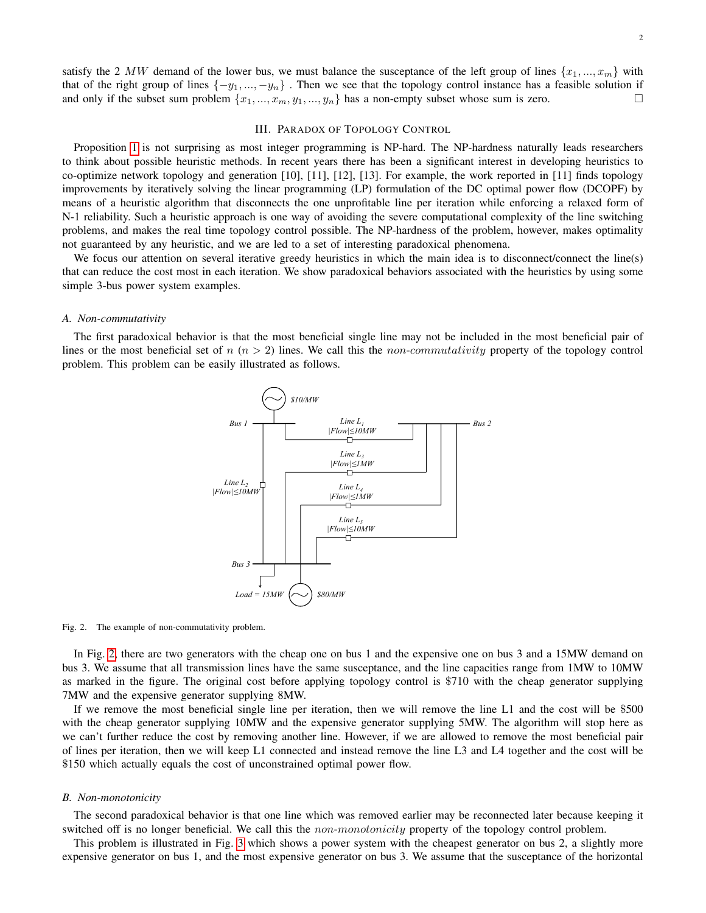### III. PARADOX OF TOPOLOGY CONTROL

<span id="page-2-1"></span>Proposition [1](#page-1-1) is not surprising as most integer programming is NP-hard. The NP-hardness naturally leads researchers to think about possible heuristic methods. In recent years there has been a significant interest in developing heuristics to co-optimize network topology and generation [10], [11], [12], [13]. For example, the work reported in [11] finds topology improvements by iteratively solving the linear programming (LP) formulation of the DC optimal power flow (DCOPF) by means of a heuristic algorithm that disconnects the one unprofitable line per iteration while enforcing a relaxed form of N-1 reliability. Such a heuristic approach is one way of avoiding the severe computational complexity of the line switching problems, and makes the real time topology control possible. The NP-hardness of the problem, however, makes optimality not guaranteed by any heuristic, and we are led to a set of interesting paradoxical phenomena.

We focus our attention on several iterative greedy heuristics in which the main idea is to disconnect/connect the line(s) that can reduce the cost most in each iteration. We show paradoxical behaviors associated with the heuristics by using some simple 3-bus power system examples.

### *A. Non-commutativity*

The first paradoxical behavior is that the most beneficial single line may not be included in the most beneficial pair of lines or the most beneficial set of  $n (n > 2)$  lines. We call this the *non-commutativity* property of the topology control problem. This problem can be easily illustrated as follows.



<span id="page-2-0"></span>Fig. 2. The example of non-commutativity problem.

In Fig. [2,](#page-2-0) there are two generators with the cheap one on bus 1 and the expensive one on bus 3 and a 15MW demand on bus 3. We assume that all transmission lines have the same susceptance, and the line capacities range from 1MW to 10MW as marked in the figure. The original cost before applying topology control is \$710 with the cheap generator supplying 7MW and the expensive generator supplying 8MW.

If we remove the most beneficial single line per iteration, then we will remove the line L1 and the cost will be \$500 with the cheap generator supplying 10MW and the expensive generator supplying 5MW. The algorithm will stop here as we can't further reduce the cost by removing another line. However, if we are allowed to remove the most beneficial pair of lines per iteration, then we will keep L1 connected and instead remove the line L3 and L4 together and the cost will be \$150 which actually equals the cost of unconstrained optimal power flow.

## *B. Non-monotonicity*

The second paradoxical behavior is that one line which was removed earlier may be reconnected later because keeping it switched off is no longer beneficial. We call this the *non-monotonicity* property of the topology control problem.

This problem is illustrated in Fig. [3](#page-3-0) which shows a power system with the cheapest generator on bus 2, a slightly more expensive generator on bus 1, and the most expensive generator on bus 3. We assume that the susceptance of the horizontal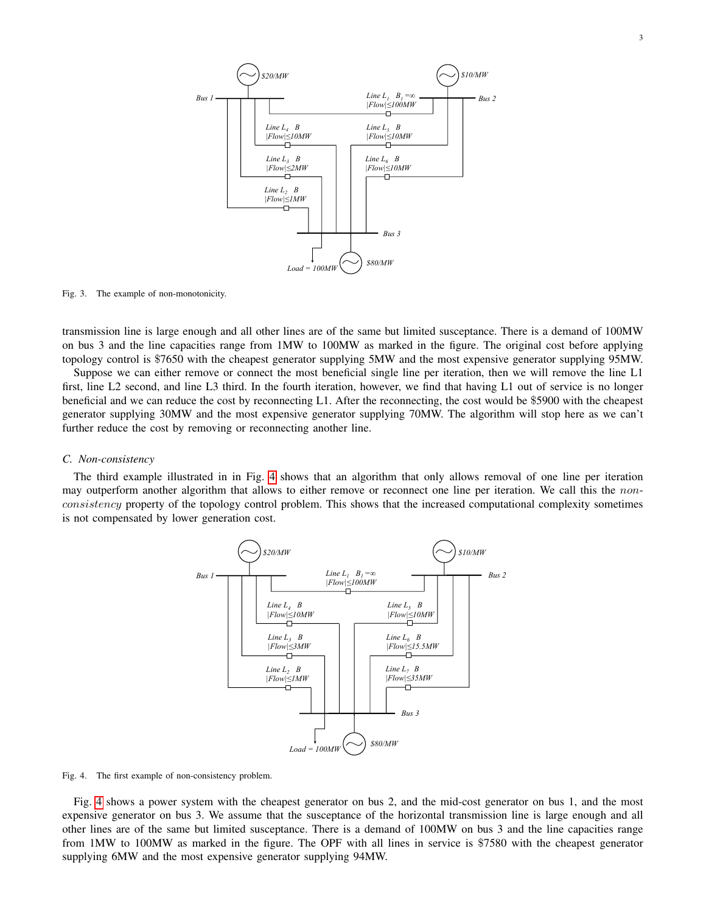3



<span id="page-3-0"></span>Fig. 3. The example of non-monotonicity.

transmission line is large enough and all other lines are of the same but limited susceptance. There is a demand of 100MW on bus 3 and the line capacities range from 1MW to 100MW as marked in the figure. The original cost before applying topology control is \$7650 with the cheapest generator supplying 5MW and the most expensive generator supplying 95MW.

Suppose we can either remove or connect the most beneficial single line per iteration, then we will remove the line L1 first, line L2 second, and line L3 third. In the fourth iteration, however, we find that having L1 out of service is no longer beneficial and we can reduce the cost by reconnecting L1. After the reconnecting, the cost would be \$5900 with the cheapest generator supplying 30MW and the most expensive generator supplying 70MW. The algorithm will stop here as we can't further reduce the cost by removing or reconnecting another line.

# *C. Non-consistency*

The third example illustrated in in Fig. [4](#page-3-1) shows that an algorithm that only allows removal of one line per iteration may outperform another algorithm that allows to either remove or reconnect one line per iteration. We call this the nonconsistency property of the topology control problem. This shows that the increased computational complexity sometimes is not compensated by lower generation cost.



<span id="page-3-1"></span>Fig. 4. The first example of non-consistency problem.

Fig. [4](#page-3-1) shows a power system with the cheapest generator on bus 2, and the mid-cost generator on bus 1, and the most expensive generator on bus 3. We assume that the susceptance of the horizontal transmission line is large enough and all other lines are of the same but limited susceptance. There is a demand of 100MW on bus 3 and the line capacities range from 1MW to 100MW as marked in the figure. The OPF with all lines in service is \$7580 with the cheapest generator supplying 6MW and the most expensive generator supplying 94MW.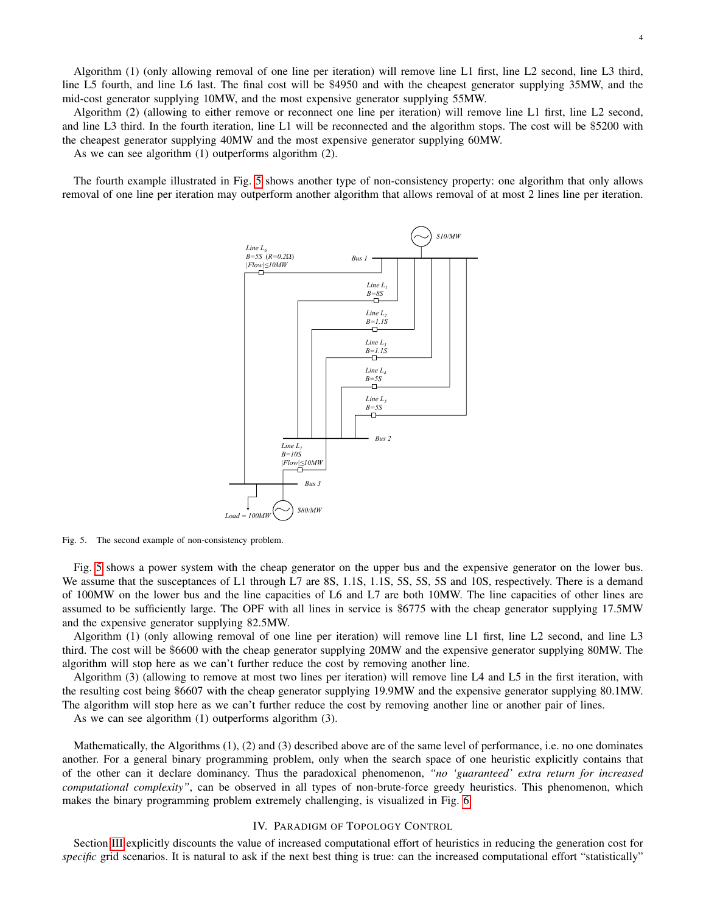Algorithm (1) (only allowing removal of one line per iteration) will remove line L1 first, line L2 second, line L3 third, line L5 fourth, and line L6 last. The final cost will be \$4950 and with the cheapest generator supplying 35MW, and the mid-cost generator supplying 10MW, and the most expensive generator supplying 55MW.

Algorithm (2) (allowing to either remove or reconnect one line per iteration) will remove line L1 first, line L2 second, and line L3 third. In the fourth iteration, line L1 will be reconnected and the algorithm stops. The cost will be \$5200 with the cheapest generator supplying 40MW and the most expensive generator supplying 60MW.

As we can see algorithm (1) outperforms algorithm (2).

The fourth example illustrated in Fig. [5](#page-4-0) shows another type of non-consistency property: one algorithm that only allows removal of one line per iteration may outperform another algorithm that allows removal of at most 2 lines line per iteration.



<span id="page-4-0"></span>Fig. 5. The second example of non-consistency problem.

Fig. [5](#page-4-0) shows a power system with the cheap generator on the upper bus and the expensive generator on the lower bus. We assume that the susceptances of L1 through L7 are 8S, 1.1S, 1.1S, 5S, 5S, 5S and 10S, respectively. There is a demand of 100MW on the lower bus and the line capacities of L6 and L7 are both 10MW. The line capacities of other lines are assumed to be sufficiently large. The OPF with all lines in service is \$6775 with the cheap generator supplying 17.5MW and the expensive generator supplying 82.5MW.

Algorithm (1) (only allowing removal of one line per iteration) will remove line L1 first, line L2 second, and line L3 third. The cost will be \$6600 with the cheap generator supplying 20MW and the expensive generator supplying 80MW. The algorithm will stop here as we can't further reduce the cost by removing another line.

Algorithm (3) (allowing to remove at most two lines per iteration) will remove line L4 and L5 in the first iteration, with the resulting cost being \$6607 with the cheap generator supplying 19.9MW and the expensive generator supplying 80.1MW. The algorithm will stop here as we can't further reduce the cost by removing another line or another pair of lines.

As we can see algorithm (1) outperforms algorithm (3).

Mathematically, the Algorithms (1), (2) and (3) described above are of the same level of performance, i.e. no one dominates another. For a general binary programming problem, only when the search space of one heuristic explicitly contains that of the other can it declare dominancy. Thus the paradoxical phenomenon, *"no 'guaranteed' extra return for increased computational complexity"*, can be observed in all types of non-brute-force greedy heuristics. This phenomenon, which makes the binary programming problem extremely challenging, is visualized in Fig. [6.](#page-5-0)

# IV. PARADIGM OF TOPOLOGY CONTROL

Section [III](#page-2-1) explicitly discounts the value of increased computational effort of heuristics in reducing the generation cost for *specific* grid scenarios. It is natural to ask if the next best thing is true: can the increased computational effort "statistically"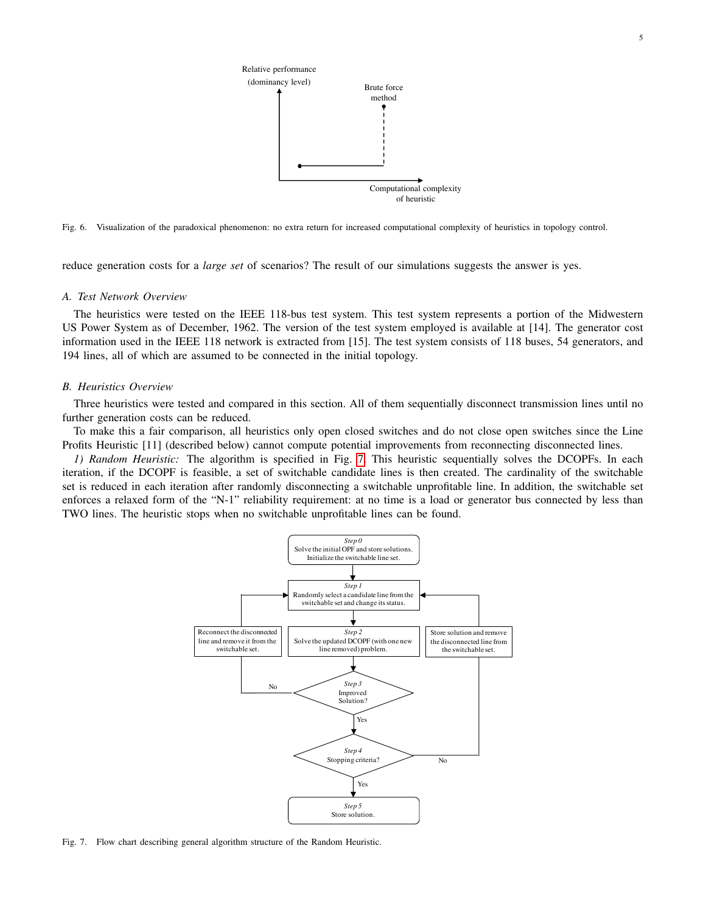5



<span id="page-5-0"></span>Fig. 6. Visualization of the paradoxical phenomenon: no extra return for increased computational complexity of heuristics in topology control.

reduce generation costs for a *large set* of scenarios? The result of our simulations suggests the answer is yes.

# *A. Test Network Overview*

The heuristics were tested on the IEEE 118-bus test system. This test system represents a portion of the Midwestern US Power System as of December, 1962. The version of the test system employed is available at [14]. The generator cost information used in the IEEE 118 network is extracted from [15]. The test system consists of 118 buses, 54 generators, and 194 lines, all of which are assumed to be connected in the initial topology.

# *B. Heuristics Overview*

Three heuristics were tested and compared in this section. All of them sequentially disconnect transmission lines until no further generation costs can be reduced.

To make this a fair comparison, all heuristics only open closed switches and do not close open switches since the Line Profits Heuristic [11] (described below) cannot compute potential improvements from reconnecting disconnected lines.

*1) Random Heuristic:* The algorithm is specified in Fig. [7.](#page-5-1) This heuristic sequentially solves the DCOPFs. In each iteration, if the DCOPF is feasible, a set of switchable candidate lines is then created. The cardinality of the switchable set is reduced in each iteration after randomly disconnecting a switchable unprofitable line. In addition, the switchable set enforces a relaxed form of the "N-1" reliability requirement: at no time is a load or generator bus connected by less than TWO lines. The heuristic stops when no switchable unprofitable lines can be found.



<span id="page-5-1"></span>Fig. 7. Flow chart describing general algorithm structure of the Random Heuristic.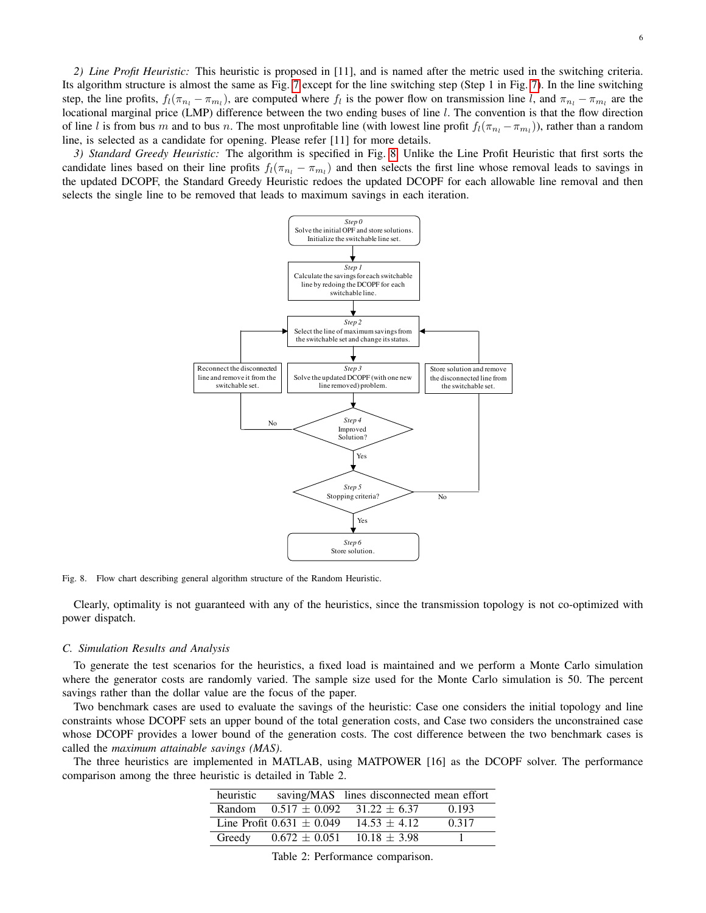*2) Line Profit Heuristic:* This heuristic is proposed in [11], and is named after the metric used in the switching criteria. Its algorithm structure is almost the same as Fig. [7](#page-5-1) except for the line switching step (Step 1 in Fig. [7\)](#page-5-1). In the line switching step, the line profits,  $f_l(\pi_{n_l} - \pi_{m_l})$ , are computed where  $f_l$  is the power flow on transmission line l, and  $\pi_{n_l} - \pi_{m_l}$  are the locational marginal price (LMP) difference between the two ending buses of line l. The convention is that the flow direction of line l is from bus m and to bus n. The most unprofitable line (with lowest line profit  $f_l(\pi_{n_l} - \pi_{m_l})$ ), rather than a random line, is selected as a candidate for opening. Please refer [11] for more details.

*3) Standard Greedy Heuristic:* The algorithm is specified in Fig. [8.](#page-6-0) Unlike the Line Profit Heuristic that first sorts the candidate lines based on their line profits  $f_l(\pi_{n_l} - \pi_{m_l})$  and then selects the first line whose removal leads to savings in the updated DCOPF, the Standard Greedy Heuristic redoes the updated DCOPF for each allowable line removal and then selects the single line to be removed that leads to maximum savings in each iteration.



<span id="page-6-0"></span>Fig. 8. Flow chart describing general algorithm structure of the Random Heuristic.

Clearly, optimality is not guaranteed with any of the heuristics, since the transmission topology is not co-optimized with power dispatch.

### *C. Simulation Results and Analysis*

To generate the test scenarios for the heuristics, a fixed load is maintained and we perform a Monte Carlo simulation where the generator costs are randomly varied. The sample size used for the Monte Carlo simulation is 50. The percent savings rather than the dollar value are the focus of the paper.

Two benchmark cases are used to evaluate the savings of the heuristic: Case one considers the initial topology and line constraints whose DCOPF sets an upper bound of the total generation costs, and Case two considers the unconstrained case whose DCOPF provides a lower bound of the generation costs. The cost difference between the two benchmark cases is called the *maximum attainable savings (MAS)*.

The three heuristics are implemented in MATLAB, using MATPOWER [16] as the DCOPF solver. The performance comparison among the three heuristic is detailed in Table 2.

| heuristic |                               | saving/MAS lines disconnected mean effort |       |
|-----------|-------------------------------|-------------------------------------------|-------|
|           |                               | Random $0.517 \pm 0.092$ $31.22 \pm 6.37$ | 0.193 |
|           | Line Profit $0.631 \pm 0.049$ | $14.53 + 4.12$                            | 0.317 |
| Greedy    |                               | $0.672 \pm 0.051$ 10.18 $\pm$ 3.98        |       |

Table 2: Performance comparison.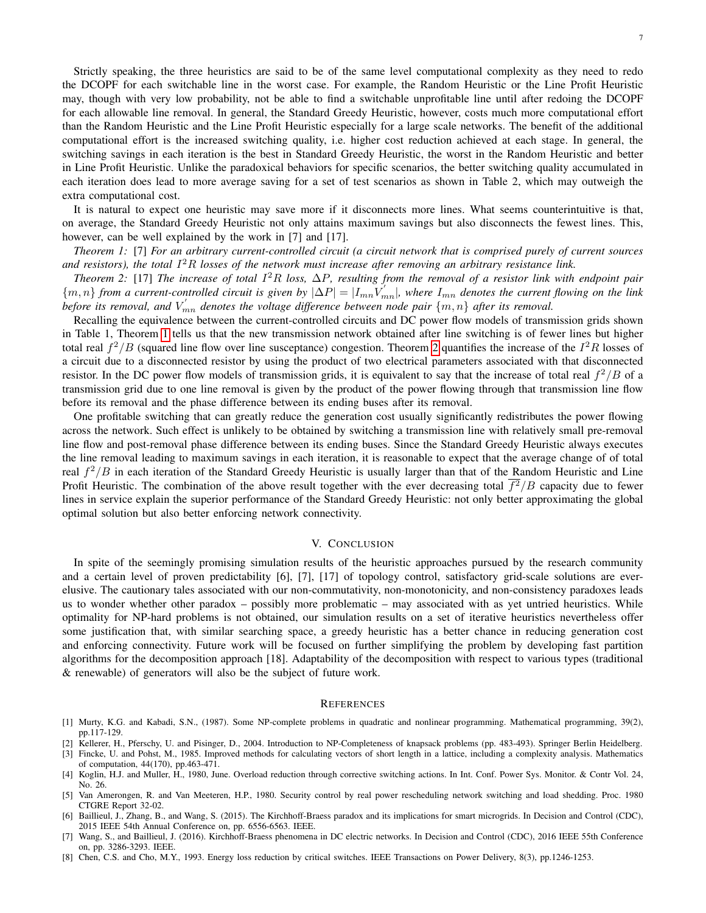Strictly speaking, the three heuristics are said to be of the same level computational complexity as they need to redo the DCOPF for each switchable line in the worst case. For example, the Random Heuristic or the Line Profit Heuristic may, though with very low probability, not be able to find a switchable unprofitable line until after redoing the DCOPF for each allowable line removal. In general, the Standard Greedy Heuristic, however, costs much more computational effort than the Random Heuristic and the Line Profit Heuristic especially for a large scale networks. The benefit of the additional computational effort is the increased switching quality, i.e. higher cost reduction achieved at each stage. In general, the switching savings in each iteration is the best in Standard Greedy Heuristic, the worst in the Random Heuristic and better in Line Profit Heuristic. Unlike the paradoxical behaviors for specific scenarios, the better switching quality accumulated in each iteration does lead to more average saving for a set of test scenarios as shown in Table 2, which may outweigh the extra computational cost.

It is natural to expect one heuristic may save more if it disconnects more lines. What seems counterintuitive is that, on average, the Standard Greedy Heuristic not only attains maximum savings but also disconnects the fewest lines. This, however, can be well explained by the work in [7] and [17].

<span id="page-7-0"></span>*Theorem 1:* [7] *For an arbitrary current-controlled circuit (a circuit network that is comprised purely of current sources and resistors), the total* I <sup>2</sup>R *losses of the network must increase after removing an arbitrary resistance link.*

<span id="page-7-1"></span>*Theorem 2:* [17] *The increase of total* I <sup>2</sup>R *loss,* ∆P*, resulting from the removal of a resistor link with endpoint pair*  $\{m,n\}$  from a current-controlled circuit is given by  $|\Delta P| = |I_{mn}V'_{mn}|$ , where  $I_{mn}$  denotes the current flowing on the link before its removal, and  $V'_{mn}$  denotes the voltage difference between node pair  $\{m,n\}$  after its removal.

Recalling the equivalence between the current-controlled circuits and DC power flow models of transmission grids shown in Table 1, Theorem [1](#page-7-0) tells us that the new transmission network obtained after line switching is of fewer lines but higher total real  $f^2/B$  (squared line flow over line susceptance) congestion. Theorem [2](#page-7-1) quantifies the increase of the  $I^2R$  losses of a circuit due to a disconnected resistor by using the product of two electrical parameters associated with that disconnected resistor. In the DC power flow models of transmission grids, it is equivalent to say that the increase of total real  $f^2/B$  of a transmission grid due to one line removal is given by the product of the power flowing through that transmission line flow before its removal and the phase difference between its ending buses after its removal.

One profitable switching that can greatly reduce the generation cost usually significantly redistributes the power flowing across the network. Such effect is unlikely to be obtained by switching a transmission line with relatively small pre-removal line flow and post-removal phase difference between its ending buses. Since the Standard Greedy Heuristic always executes the line removal leading to maximum savings in each iteration, it is reasonable to expect that the average change of of total real  $f^2/B$  in each iteration of the Standard Greedy Heuristic is usually larger than that of the Random Heuristic and Line Profit Heuristic. The combination of the above result together with the ever decreasing total  $\overline{f^2}/B$  capacity due to fewer lines in service explain the superior performance of the Standard Greedy Heuristic: not only better approximating the global optimal solution but also better enforcing network connectivity.

# V. CONCLUSION

In spite of the seemingly promising simulation results of the heuristic approaches pursued by the research community and a certain level of proven predictability [6], [7], [17] of topology control, satisfactory grid-scale solutions are everelusive. The cautionary tales associated with our non-commutativity, non-monotonicity, and non-consistency paradoxes leads us to wonder whether other paradox – possibly more problematic – may associated with as yet untried heuristics. While optimality for NP-hard problems is not obtained, our simulation results on a set of iterative heuristics nevertheless offer some justification that, with similar searching space, a greedy heuristic has a better chance in reducing generation cost and enforcing connectivity. Future work will be focused on further simplifying the problem by developing fast partition algorithms for the decomposition approach [18]. Adaptability of the decomposition with respect to various types (traditional & renewable) of generators will also be the subject of future work.

### **REFERENCES**

- [1] Murty, K.G. and Kabadi, S.N., (1987). Some NP-complete problems in quadratic and nonlinear programming. Mathematical programming, 39(2), pp.117-129.
- [2] Kellerer, H., Pferschy, U. and Pisinger, D., 2004. Introduction to NP-Completeness of knapsack problems (pp. 483-493). Springer Berlin Heidelberg.
- [3] Fincke, U. and Pohst, M., 1985. Improved methods for calculating vectors of short length in a lattice, including a complexity analysis. Mathematics of computation, 44(170), pp.463-471.
- [4] Koglin, H.J. and Muller, H., 1980, June. Overload reduction through corrective switching actions. In Int. Conf. Power Sys. Monitor. & Contr Vol. 24, No. 26.
- [5] Van Amerongen, R. and Van Meeteren, H.P., 1980. Security control by real power rescheduling network switching and load shedding. Proc. 1980 CTGRE Report 32-02.
- [6] Baillieul, J., Zhang, B., and Wang, S. (2015). The Kirchhoff-Braess paradox and its implications for smart microgrids. In Decision and Control (CDC), 2015 IEEE 54th Annual Conference on, pp. 6556-6563. IEEE.
- [7] Wang, S., and Baillieul, J. (2016). Kirchhoff-Braess phenomena in DC electric networks. In Decision and Control (CDC), 2016 IEEE 55th Conference on, pp. 3286-3293. IEEE.
- [8] Chen, C.S. and Cho, M.Y., 1993. Energy loss reduction by critical switches. IEEE Transactions on Power Delivery, 8(3), pp.1246-1253.